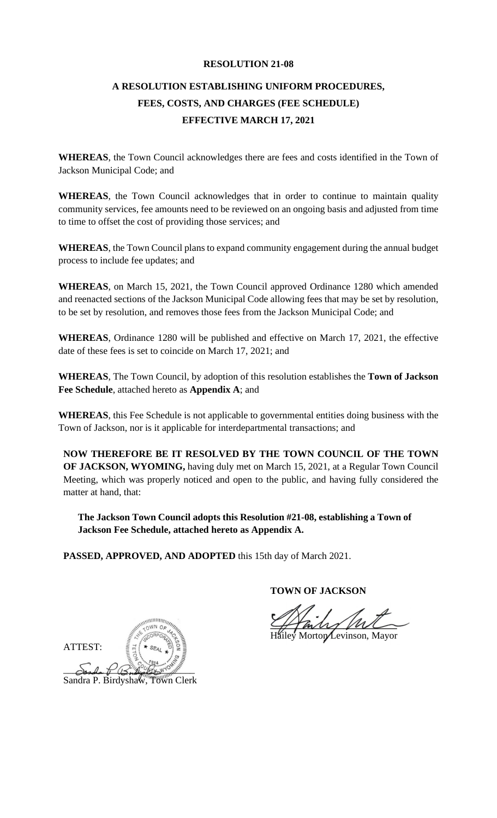#### **RESOLUTION 21-08**

# **A RESOLUTION ESTABLISHING UNIFORM PROCEDURES, FEES, COSTS, AND CHARGES (FEE SCHEDULE) EFFECTIVE MARCH 17, 2021**

**WHEREAS**, the Town Council acknowledges there are fees and costs identified in the Town of Jackson Municipal Code; and

**WHEREAS**, the Town Council acknowledges that in order to continue to maintain quality community services, fee amounts need to be reviewed on an ongoing basis and adjusted from time to time to offset the cost of providing those services; and

**WHEREAS**, the Town Council plans to expand community engagement during the annual budget process to include fee updates; and

**WHEREAS**, on March 15, 2021, the Town Council approved Ordinance 1280 which amended and reenacted sections of the Jackson Municipal Code allowing fees that may be set by resolution, to be set by resolution, and removes those fees from the Jackson Municipal Code; and

**WHEREAS**, Ordinance 1280 will be published and effective on March 17, 2021, the effective date of these fees is set to coincide on March 17, 2021; and

**WHEREAS**, The Town Council, by adoption of this resolution establishes the **Town of Jackson Fee Schedule**, attached hereto as **Appendix A**; and

**WHEREAS**, this Fee Schedule is not applicable to governmental entities doing business with the Town of Jackson, nor is it applicable for interdepartmental transactions; and

**NOW THEREFORE BE IT RESOLVED BY THE TOWN COUNCIL OF THE TOWN OF JACKSON, WYOMING,** having duly met on March 15, 2021, at a Regular Town Council Meeting, which was properly noticed and open to the public, and having fully considered the matter at hand, that:

**The Jackson Town Council adopts this Resolution #21-08, establishing a Town of Jackson Fee Schedule, attached hereto as Appendix A.**

**PASSED, APPROVED, AND ADOPTED** this 15th day of March 2021.

**TOWN OF JACKSON**

Morton Levinson, Mayor

 $\mathcal{L}$  and  $\mathcal{L}$ ATTEST: Jonda & Bulled 2 WYO WINN Sandra P. Birdyshaw, Town Clerk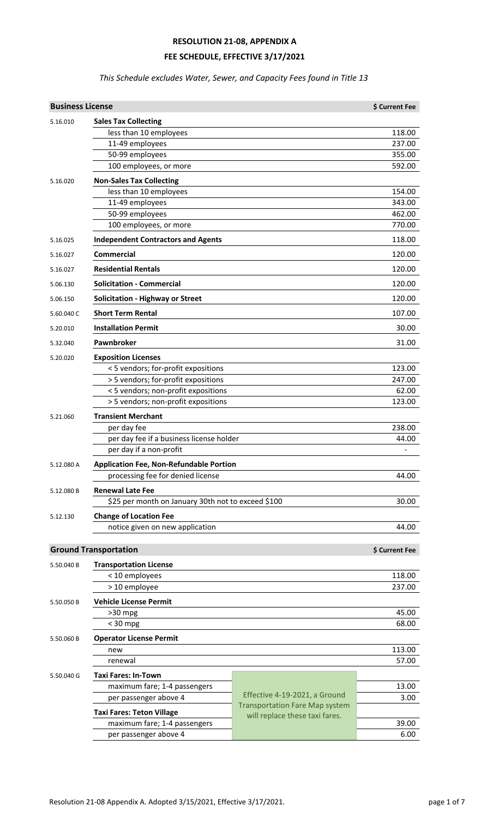### **RESOLUTION 21-08, APPENDIX A**

#### **FEE SCHEDULE, EFFECTIVE 3/17/2021**

### *This Schedule excludes Water, Sewer, and Capacity Fees found in Title 13*

| <b>Business License</b> |                                                                                     |                                       | \$ Current Fee           |
|-------------------------|-------------------------------------------------------------------------------------|---------------------------------------|--------------------------|
| 5.16.010                | <b>Sales Tax Collecting</b>                                                         |                                       |                          |
|                         | less than 10 employees                                                              |                                       | 118.00                   |
|                         | 11-49 employees                                                                     |                                       | 237.00                   |
|                         | 50-99 employees                                                                     |                                       | 355.00                   |
|                         | 100 employees, or more                                                              |                                       | 592.00                   |
| 5.16.020                | <b>Non-Sales Tax Collecting</b>                                                     |                                       |                          |
|                         | less than 10 employees                                                              |                                       | 154.00                   |
|                         | 11-49 employees                                                                     |                                       | 343.00                   |
|                         | 50-99 employees                                                                     |                                       | 462.00                   |
|                         | 100 employees, or more                                                              |                                       | 770.00                   |
| 5.16.025                | <b>Independent Contractors and Agents</b>                                           |                                       | 118.00                   |
| 5.16.027                | <b>Commercial</b>                                                                   |                                       | 120.00                   |
| 5.16.027                | <b>Residential Rentals</b>                                                          |                                       | 120.00                   |
| 5.06.130                | <b>Solicitation - Commercial</b>                                                    |                                       | 120.00                   |
| 5.06.150                | <b>Solicitation - Highway or Street</b>                                             |                                       | 120.00                   |
| 5.60.040 C              | <b>Short Term Rental</b>                                                            |                                       | 107.00                   |
| 5.20.010                | <b>Installation Permit</b>                                                          |                                       | 30.00                    |
| 5.32.040                | Pawnbroker                                                                          |                                       | 31.00                    |
| 5.20.020                | <b>Exposition Licenses</b>                                                          |                                       |                          |
|                         | < 5 vendors; for-profit expositions                                                 |                                       | 123.00                   |
|                         | > 5 vendors; for-profit expositions                                                 |                                       | 247.00                   |
|                         | < 5 vendors; non-profit expositions                                                 |                                       | 62.00                    |
|                         | > 5 vendors; non-profit expositions                                                 |                                       | 123.00                   |
| 5.21.060                | <b>Transient Merchant</b>                                                           |                                       |                          |
|                         | per day fee                                                                         |                                       | 238.00                   |
|                         | per day fee if a business license holder                                            |                                       | 44.00                    |
|                         | per day if a non-profit                                                             |                                       | $\overline{\phantom{0}}$ |
| 5.12.080 A              | <b>Application Fee, Non-Refundable Portion</b><br>processing fee for denied license |                                       | 44.00                    |
|                         |                                                                                     |                                       |                          |
| 5.12.080 B              | <b>Renewal Late Fee</b>                                                             |                                       |                          |
|                         | \$25 per month on January 30th not to exceed \$100                                  |                                       | 30.00                    |
| 5.12.130                | <b>Change of Location Fee</b>                                                       |                                       |                          |
|                         | notice given on new application                                                     |                                       | 44.00                    |
|                         | <b>Ground Transportation</b>                                                        |                                       | \$ Current Fee           |
| 5.50.040 B              | <b>Transportation License</b>                                                       |                                       |                          |
|                         | < 10 employees                                                                      |                                       | 118.00                   |
|                         | > 10 employee                                                                       |                                       | 237.00                   |
| 5.50.050 B              | <b>Vehicle License Permit</b>                                                       |                                       |                          |
|                         | $>30$ mpg                                                                           |                                       | 45.00                    |
|                         | $<$ 30 mpg                                                                          |                                       | 68.00                    |
| 5.50.060 B              | <b>Operator License Permit</b>                                                      |                                       |                          |
|                         | new                                                                                 |                                       | 113.00                   |
|                         | renewal                                                                             |                                       | 57.00                    |
| 5.50.040 G              | <b>Taxi Fares: In-Town</b>                                                          |                                       |                          |
|                         | maximum fare; 1-4 passengers                                                        |                                       | 13.00                    |
|                         | per passenger above 4                                                               | Effective 4-19-2021, a Ground         | 3.00                     |
|                         | <b>Taxi Fares: Teton Village</b>                                                    | <b>Transportation Fare Map system</b> |                          |
|                         | maximum fare; 1-4 passengers                                                        | will replace these taxi fares.        | 39.00                    |
|                         | per passenger above 4                                                               |                                       | 6.00                     |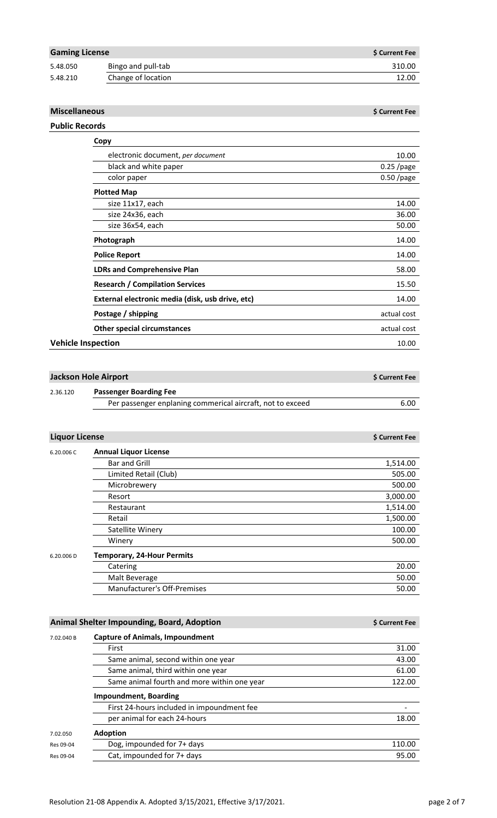| <b>Gaming License</b> |                    | \$ Current Fee |
|-----------------------|--------------------|----------------|
| 5.48.050              | Bingo and pull-tab | 310.00         |
| 5.48.210              | Change of location | 12.00          |

#### **Miscellaneous \$** Current Fee

# **Public Records**

| Copy                                             |              |
|--------------------------------------------------|--------------|
| electronic document, per document                | 10.00        |
| black and white paper                            | $0.25$ /page |
| color paper                                      | $0.50$ /page |
| <b>Plotted Map</b>                               |              |
| size 11x17, each                                 | 14.00        |
| size 24x36, each                                 | 36.00        |
| size 36x54, each                                 | 50.00        |
| Photograph                                       | 14.00        |
| <b>Police Report</b>                             | 14.00        |
| <b>LDRs and Comprehensive Plan</b>               | 58.00        |
| <b>Research / Compilation Services</b>           | 15.50        |
| External electronic media (disk, usb drive, etc) | 14.00        |
| Postage / shipping                               | actual cost  |
| <b>Other special circumstances</b>               | actual cost  |
| <b>Vehicle Inspection</b>                        | 10.00        |

| Jackson Hole Airport |                                                            | S Current Fee |
|----------------------|------------------------------------------------------------|---------------|
| 2.36.120             | <b>Passenger Boarding Fee</b>                              |               |
|                      | Per passenger enplaning commerical aircraft, not to exceed | 6.00          |

| <b>Liquor License</b> |                                   | <b>S Current Fee</b> |
|-----------------------|-----------------------------------|----------------------|
| 6.20.006 C            | <b>Annual Liquor License</b>      |                      |
|                       | <b>Bar and Grill</b>              | 1,514.00             |
|                       | Limited Retail (Club)             | 505.00               |
|                       | Microbrewery                      | 500.00               |
|                       | Resort                            | 3,000.00             |
|                       | Restaurant                        | 1,514.00             |
|                       | Retail                            | 1,500.00             |
|                       | Satellite Winery                  | 100.00               |
|                       | Winery                            | 500.00               |
| 6.20.006 D            | <b>Temporary, 24-Hour Permits</b> |                      |
|                       | Catering                          | 20.00                |
|                       | Malt Beverage                     | 50.00                |
|                       | Manufacturer's Off-Premises       | 50.00                |

|            | Animal Shelter Impounding, Board, Adoption  | \$ Current Fee |
|------------|---------------------------------------------|----------------|
| 7.02.040 B | <b>Capture of Animals, Impoundment</b>      |                |
|            | First                                       | 31.00          |
|            | Same animal, second within one year         | 43.00          |
|            | Same animal, third within one year          | 61.00          |
|            | Same animal fourth and more within one year | 122.00         |
|            | <b>Impoundment, Boarding</b>                |                |
|            | First 24-hours included in impoundment fee  |                |
|            | per animal for each 24-hours                | 18.00          |
| 7.02.050   | <b>Adoption</b>                             |                |
| Res 09-04  | Dog, impounded for 7+ days                  | 110.00         |
| Res 09-04  | Cat, impounded for 7+ days                  | 95.00          |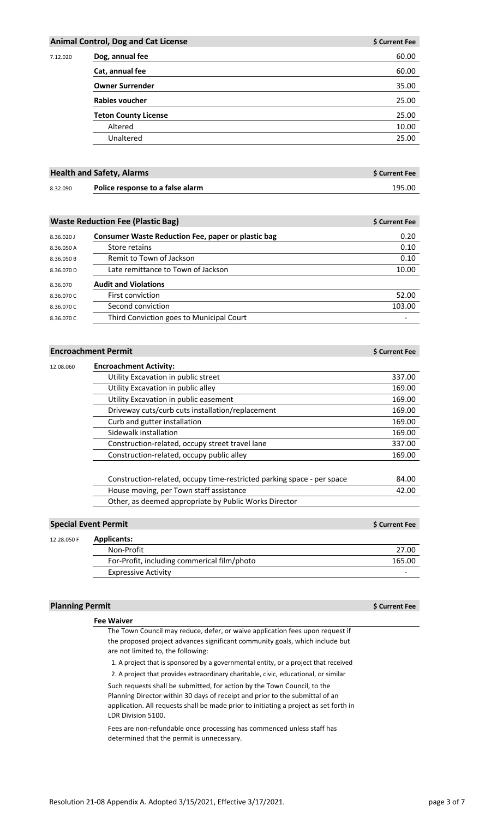|          | <b>Animal Control, Dog and Cat License</b> | \$ Current Fee |
|----------|--------------------------------------------|----------------|
| 7.12.020 | Dog, annual fee                            | 60.00          |
|          | Cat, annual fee                            | 60.00          |
|          | <b>Owner Surrender</b>                     | 35.00          |
|          | Rabies voucher                             | 25.00          |
|          | <b>Teton County License</b>                | 25.00          |
|          | Altered                                    | 10.00          |
|          | Unaltered                                  | 25.00          |
|          |                                            |                |

|          | <b>Health and Safety, Alarms</b> | <b>S Current Fee</b> |
|----------|----------------------------------|----------------------|
| 8.32.090 | Police response to a false alarm | 195.00               |

|            | <b>Waste Reduction Fee (Plastic Bag)</b>           | \$ Current Fee |
|------------|----------------------------------------------------|----------------|
| 8.36.020 J | Consumer Waste Reduction Fee, paper or plastic bag | 0.20           |
| 8.36.050 A | Store retains                                      | 0.10           |
| 8.36.050 B | Remit to Town of Jackson                           | 0.10           |
| 8.36.070 D | Late remittance to Town of Jackson                 | 10.00          |
| 8.36.070   | <b>Audit and Violations</b>                        |                |
| 8.36.070 C | <b>First conviction</b>                            | 52.00          |
| 8.36.070 C | Second conviction                                  | 103.00         |
| 8.36.070 C | Third Conviction goes to Municipal Court           |                |

#### **Encroachment Permit** *<b>Encroachment Permit Bulleting <b>A*

| <b>Encroachment Activity:</b>                                          |        |
|------------------------------------------------------------------------|--------|
| Utility Excavation in public street                                    | 337.00 |
| Utility Excavation in public alley                                     | 169.00 |
| Utility Excavation in public easement                                  | 169.00 |
| Driveway cuts/curb cuts installation/replacement                       | 169.00 |
| Curb and gutter installation                                           | 169.00 |
| Sidewalk installation                                                  | 169.00 |
| Construction-related, occupy street travel lane                        | 337.00 |
| Construction-related, occupy public alley                              | 169.00 |
| Construction-related, occupy time-restricted parking space - per space | 84.00  |
| House moving, per Town staff assistance                                | 42.00  |
| Other, as deemed appropriate by Public Works Director                  |        |
|                                                                        |        |

# **Special Event Permit \$** Current Fee

| 12.28.050 F | <b>Applicants:</b>                          |        |
|-------------|---------------------------------------------|--------|
|             | Non-Profit                                  | 27.00  |
|             | For-Profit, including commerical film/photo | 165.00 |
|             | <b>Expressive Activity</b>                  |        |

### **Planning Permit \$** Current Fee

|                                    | The Town Council may reduce, defer, or waive application fees upon request if         |
|------------------------------------|---------------------------------------------------------------------------------------|
|                                    | the proposed project advances significant community goals, which include but          |
| are not limited to, the following: |                                                                                       |
|                                    | 1. A project that is sponsored by a governmental entity, or a project that received   |
|                                    | 2. A project that provides extraordinary charitable, civic, educational, or similar   |
|                                    | Such requests shall be submitted, for action by the Town Council, to the              |
|                                    | Planning Director within 30 days of receipt and prior to the submittal of an          |
|                                    | application. All requests shall be made prior to initiating a project as set forth in |

application. All requests shall be made prior to initiating a project as set forth in LDR Division 5100.

Fees are non-refundable once processing has commenced unless staff has determined that the permit is unnecessary.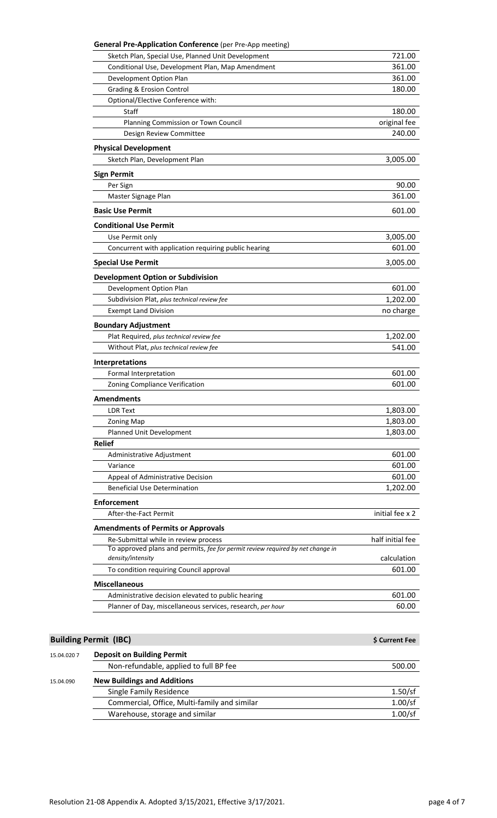| <b>General Pre-Application Conference</b> (per Pre-App meeting) |                                                                                |                        |
|-----------------------------------------------------------------|--------------------------------------------------------------------------------|------------------------|
| Sketch Plan, Special Use, Planned Unit Development              |                                                                                | 721.00                 |
| Conditional Use, Development Plan, Map Amendment                |                                                                                | 361.00                 |
| Development Option Plan                                         |                                                                                | 361.00                 |
| <b>Grading &amp; Erosion Control</b>                            |                                                                                | 180.00                 |
| Optional/Elective Conference with:<br><b>Staff</b>              |                                                                                |                        |
| Planning Commission or Town Council                             |                                                                                | 180.00<br>original fee |
| Design Review Committee                                         |                                                                                | 240.00                 |
|                                                                 |                                                                                |                        |
| <b>Physical Development</b>                                     |                                                                                |                        |
| Sketch Plan, Development Plan                                   |                                                                                | 3,005.00               |
| <b>Sign Permit</b>                                              |                                                                                |                        |
| Per Sign                                                        |                                                                                | 90.00                  |
| Master Signage Plan                                             |                                                                                | 361.00                 |
| <b>Basic Use Permit</b>                                         |                                                                                | 601.00                 |
| <b>Conditional Use Permit</b>                                   |                                                                                |                        |
| Use Permit only                                                 |                                                                                | 3,005.00               |
| Concurrent with application requiring public hearing            |                                                                                | 601.00                 |
| <b>Special Use Permit</b>                                       |                                                                                | 3,005.00               |
| <b>Development Option or Subdivision</b>                        |                                                                                |                        |
| Development Option Plan                                         |                                                                                | 601.00                 |
| Subdivision Plat, plus technical review fee                     |                                                                                | 1,202.00               |
| <b>Exempt Land Division</b>                                     |                                                                                | no charge              |
| <b>Boundary Adjustment</b>                                      |                                                                                |                        |
| Plat Required, plus technical review fee                        |                                                                                | 1,202.00               |
| Without Plat, plus technical review fee                         |                                                                                | 541.00                 |
|                                                                 |                                                                                |                        |
| Interpretations<br>Formal Interpretation                        |                                                                                | 601.00                 |
| Zoning Compliance Verification                                  |                                                                                | 601.00                 |
|                                                                 |                                                                                |                        |
| <b>Amendments</b>                                               |                                                                                |                        |
| <b>LDR Text</b>                                                 |                                                                                | 1,803.00               |
| <b>Zoning Map</b>                                               |                                                                                | 1,803.00               |
| Planned Unit Development<br><b>Relief</b>                       |                                                                                | 1,803.00               |
|                                                                 |                                                                                | 601.00                 |
| Administrative Adjustment<br>Variance                           |                                                                                | 601.00                 |
| Appeal of Administrative Decision                               |                                                                                | 601.00                 |
| <b>Beneficial Use Determination</b>                             |                                                                                | 1,202.00               |
| <b>Enforcement</b>                                              |                                                                                |                        |
| After-the-Fact Permit                                           |                                                                                | initial fee x 2        |
| <b>Amendments of Permits or Approvals</b>                       |                                                                                |                        |
| Re-Submittal while in review process                            |                                                                                | half initial fee       |
| density/intensity                                               | To approved plans and permits, fee for permit review required by net change in | calculation            |
| To condition requiring Council approval                         |                                                                                | 601.00                 |
| <b>Miscellaneous</b>                                            |                                                                                |                        |
|                                                                 |                                                                                |                        |
| Administrative decision elevated to public hearing              |                                                                                | 601.00                 |
| Planner of Day, miscellaneous services, research, per hour      |                                                                                | 60.00                  |
|                                                                 |                                                                                |                        |
| <b>Building Permit (IBC)</b>                                    |                                                                                | \$ Current Fee         |
| <b>Deposit on Building Permit</b>                               |                                                                                |                        |
| Non-refundable, applied to full BP fee                          |                                                                                | 500.00                 |

15.04.090 **New Buildings and Additions** Single Family Residence<br>
Commercial, Office, Multi-family and similar
1.00/sf
1.00/sf
1.00/sf
1.00/sf
1.00/sf
1.00/sf
1.00/sf
1.00/sf
1.00/sf
1.00/sf
1.00/sf
1.00/sf
1.00/sf
1.00/sf
1.00/sf
1.00/sf
1.00/sf
1.00/sf
1.00/sf Commercial, Office, Multi-family and similar 1.00/sf<br>Warehouse, storage and similar 1.00/sf Warehouse, storage and similar

15.04.020 7 **Deposit on Building Permit**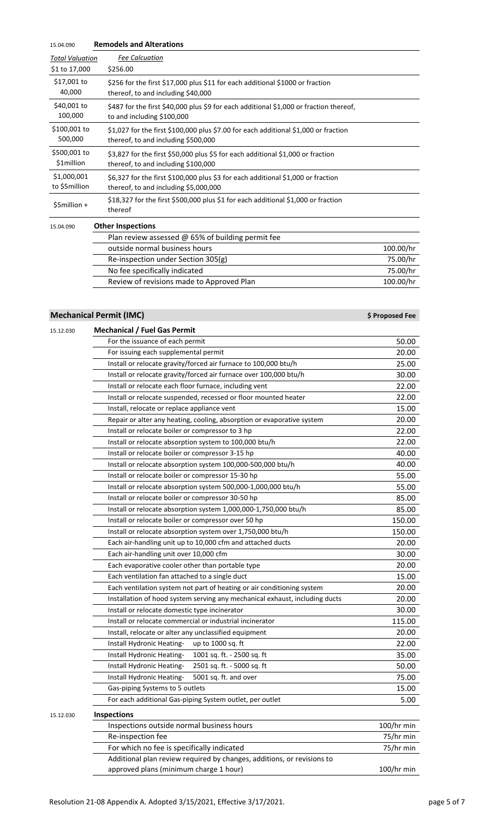| 15.04.090                    | <b>Remodels and Alterations</b>                                                                                            |           |
|------------------------------|----------------------------------------------------------------------------------------------------------------------------|-----------|
| <b>Total Valuation</b>       | <b>Fee Calcuation</b>                                                                                                      |           |
| \$1 to 17,000                | \$256.00                                                                                                                   |           |
| \$17,001 to<br>40,000        | \$256 for the first \$17,000 plus \$11 for each additional \$1000 or fraction<br>thereof, to and including \$40,000        |           |
| \$40,001 to<br>100,000       | \$487 for the first \$40,000 plus \$9 for each additional \$1,000 or fraction thereof,<br>to and including \$100,000       |           |
| \$100,001 to<br>500,000      | \$1,027 for the first \$100,000 plus \$7.00 for each additional \$1,000 or fraction<br>thereof, to and including \$500,000 |           |
| \$500,001 to<br>\$1million   | \$3,827 for the first \$50,000 plus \$5 for each additional \$1,000 or fraction<br>thereof, to and including \$100,000     |           |
| \$1,000,001<br>to \$5million | \$6,327 for the first \$100,000 plus \$3 for each additional \$1,000 or fraction<br>thereof, to and including \$5,000,000  |           |
| \$5million +                 | \$18,327 for the first \$500,000 plus \$1 for each additional \$1,000 or fraction<br>thereof                               |           |
| 15.04.090                    | <b>Other Inspections</b>                                                                                                   |           |
|                              | Plan review assessed @ 65% of building permit fee                                                                          |           |
|                              | outside normal business hours                                                                                              | 100.00/hr |
|                              | Re-inspection under Section 305(g)                                                                                         | 75.00/hr  |
|                              | No fee specifically indicated                                                                                              | 75.00/hr  |
|                              | Review of revisions made to Approved Plan                                                                                  | 100.00/hr |

# **Mechanical Permit (IMC)** *<b>Mechanical Permit (IMC) But the extent of the extent of the extent of the extent of the extent of the extent of the extent of the extent of the extent of the extent of the extent of the ext*

| 15.12.030 | <b>Mechanical / Fuel Gas Permit</b>                                         |            |
|-----------|-----------------------------------------------------------------------------|------------|
|           | For the issuance of each permit                                             | 50.00      |
|           | For issuing each supplemental permit                                        | 20.00      |
|           | Install or relocate gravity/forced air furnace to 100,000 btu/h             | 25.00      |
|           | Install or relocate gravity/forced air furnace over 100,000 btu/h           | 30.00      |
|           | Install or relocate each floor furnace, including vent                      | 22.00      |
|           | Install or relocate suspended, recessed or floor mounted heater             | 22.00      |
|           | Install, relocate or replace appliance vent                                 | 15.00      |
|           | Repair or alter any heating, cooling, absorption or evaporative system      | 20.00      |
|           | Install or relocate boiler or compressor to 3 hp                            | 22.00      |
|           | Install or relocate absorption system to 100,000 btu/h                      | 22.00      |
|           | Install or relocate boiler or compressor 3-15 hp                            | 40.00      |
|           | Install or relocate absorption system 100,000-500,000 btu/h                 | 40.00      |
|           | Install or relocate boiler or compressor 15-30 hp                           | 55.00      |
|           | Install or relocate absorption system 500,000-1,000,000 btu/h               | 55.00      |
|           | Install or relocate boiler or compressor 30-50 hp                           | 85.00      |
|           | Install or relocate absorption system 1,000,000-1,750,000 btu/h             | 85.00      |
|           | Install or relocate boiler or compressor over 50 hp                         | 150.00     |
|           | Install or relocate absorption system over 1,750,000 btu/h                  | 150.00     |
|           | Each air-handling unit up to 10,000 cfm and attached ducts                  | 20.00      |
|           | Each air-handling unit over 10,000 cfm                                      | 30.00      |
|           | Each evaporative cooler other than portable type                            | 20.00      |
|           | Each ventilation fan attached to a single duct                              | 15.00      |
|           | Each ventilation system not part of heating or air conditioning system      | 20.00      |
|           | Installation of hood system serving any mechanical exhaust, including ducts | 20.00      |
|           | Install or relocate domestic type incinerator                               | 30.00      |
|           | Install or relocate commercial or industrial incinerator                    | 115.00     |
|           | Install, relocate or alter any unclassified equipment                       | 20.00      |
|           | Install Hydronic Heating-<br>up to 1000 sq. ft                              | 22.00      |
|           | Install Hydronic Heating-<br>1001 sq. ft. - 2500 sq. ft                     | 35.00      |
|           | 2501 sq. ft. - 5000 sq. ft<br>Install Hydronic Heating-                     | 50.00      |
|           | 5001 sq. ft. and over<br>Install Hydronic Heating-                          | 75.00      |
|           | Gas-piping Systems to 5 outlets                                             | 15.00      |
|           | For each additional Gas-piping System outlet, per outlet                    | 5.00       |
| 15.12.030 | <b>Inspections</b>                                                          |            |
|           | Inspections outside normal business hours                                   | 100/hr min |
|           | Re-inspection fee                                                           | 75/hr min  |
|           | For which no fee is specifically indicated                                  | 75/hr min  |
|           | Additional plan review required by changes, additions, or revisions to      |            |
|           | approved plans (minimum charge 1 hour)                                      | 100/hr min |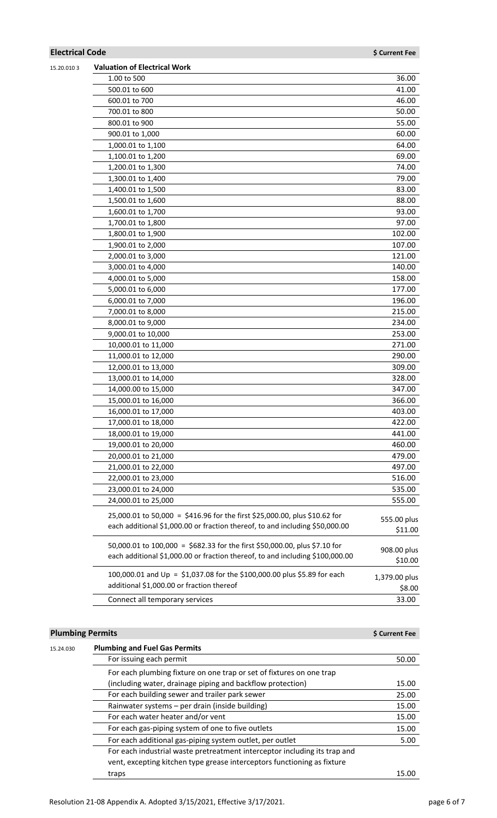# **Electrical Code \$** Current Fee

| 15.20.0103 | <b>Valuation of Electrical Work</b>                                           |               |
|------------|-------------------------------------------------------------------------------|---------------|
|            | 1.00 to 500                                                                   | 36.00         |
|            | 500.01 to 600                                                                 | 41.00         |
|            | 600.01 to 700                                                                 | 46.00         |
|            | 700.01 to 800                                                                 | 50.00         |
|            | 800.01 to 900                                                                 | 55.00         |
|            | 900.01 to 1,000                                                               | 60.00         |
|            | 1,000.01 to 1,100                                                             | 64.00         |
|            | 1,100.01 to 1,200                                                             | 69.00         |
|            | 1,200.01 to 1,300                                                             | 74.00         |
|            | 1,300.01 to 1,400                                                             | 79.00         |
|            | 1,400.01 to 1,500                                                             | 83.00         |
|            | 1,500.01 to 1,600                                                             | 88.00         |
|            | 1,600.01 to 1,700                                                             | 93.00         |
|            | 1,700.01 to 1,800                                                             | 97.00         |
|            | 1,800.01 to 1,900                                                             | 102.00        |
|            | 1,900.01 to 2,000                                                             | 107.00        |
|            | 2,000.01 to 3,000                                                             | 121.00        |
|            | 3,000.01 to 4,000                                                             | 140.00        |
|            | 4,000.01 to 5,000                                                             | 158.00        |
|            | 5,000.01 to 6,000                                                             | 177.00        |
|            | 6,000.01 to 7,000                                                             | 196.00        |
|            | 7,000.01 to 8,000                                                             | 215.00        |
|            | 8,000.01 to 9,000                                                             | 234.00        |
|            | 9,000.01 to 10,000                                                            | 253.00        |
|            | 10,000.01 to 11,000                                                           | 271.00        |
|            | 11,000.01 to 12,000                                                           | 290.00        |
|            | 12,000.01 to 13,000                                                           | 309.00        |
|            | 13,000.01 to 14,000                                                           | 328.00        |
|            | 14,000.00 to 15,000                                                           | 347.00        |
|            | 15,000.01 to 16,000                                                           | 366.00        |
|            | 16,000.01 to 17,000                                                           | 403.00        |
|            | 17,000.01 to 18,000                                                           | 422.00        |
|            | 18,000.01 to 19,000                                                           | 441.00        |
|            | 19,000.01 to 20,000                                                           | 460.00        |
|            | 20,000.01 to 21,000                                                           | 479.00        |
|            | 21,000.01 to 22,000                                                           | 497.00        |
|            | 22,000.01 to 23,000                                                           | 516.00        |
|            | 23,000.01 to 24,000                                                           | 535.00        |
|            | 24,000.01 to 25,000                                                           | 555.00        |
|            | 25,000.01 to 50,000 = \$416.96 for the first \$25,000.00, plus \$10.62 for    | 555.00 plus   |
|            | each additional \$1,000.00 or fraction thereof, to and including \$50,000.00  | \$11.00       |
|            |                                                                               |               |
|            | 50,000.01 to 100,000 = \$682.33 for the first \$50,000.00, plus \$7.10 for    | 908.00 plus   |
|            | each additional \$1,000.00 or fraction thereof, to and including \$100,000.00 | \$10.00       |
|            | 100,000.01 and Up = \$1,037.08 for the \$100,000.00 plus \$5.89 for each      | 1,379.00 plus |
|            | additional \$1,000.00 or fraction thereof                                     | \$8.00        |
|            | Connect all temporary services                                                | 33.00         |
|            |                                                                               |               |

### **Plumbing Permits \$** Current Fee

| 15.24.030 | <b>Plumbing and Fuel Gas Permits</b>                                      |       |
|-----------|---------------------------------------------------------------------------|-------|
|           | For issuing each permit                                                   | 50.00 |
|           | For each plumbing fixture on one trap or set of fixtures on one trap      |       |
|           | (including water, drainage piping and backflow protection)                | 15.00 |
|           | For each building sewer and trailer park sewer                            | 25.00 |
|           | Rainwater systems - per drain (inside building)                           | 15.00 |
|           | For each water heater and/or vent                                         | 15.00 |
|           | For each gas-piping system of one to five outlets                         | 15.00 |
|           | For each additional gas-piping system outlet, per outlet                  | 5.00  |
|           | For each industrial waste pretreatment interceptor including its trap and |       |
|           | vent, excepting kitchen type grease interceptors functioning as fixture   |       |
|           | traps                                                                     | 15.00 |